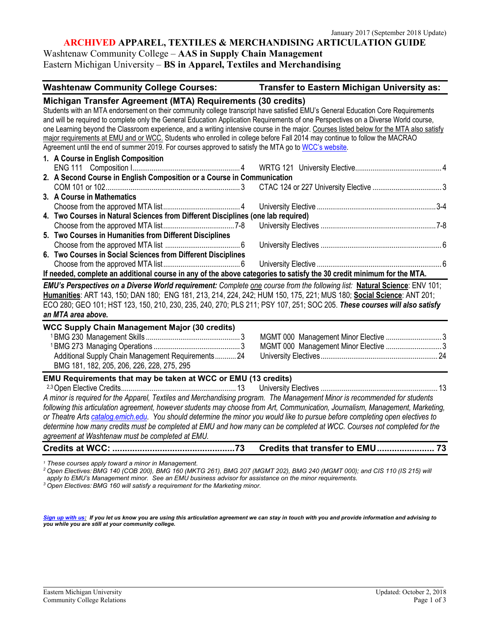## **ARCHIVED APPAREL, TEXTILES & MERCHANDISING ARTICULATION GUIDE**

# Washtenaw Community College – **AAS in Supply Chain Management** Eastern Michigan University – **BS in Apparel, Textiles and Merchandising**

**Washtenaw Community College Courses: Transfer to Eastern Michigan University as:**

| Michigan Transfer Agreement (MTA) Requirements (30 credits)                                                                              |  |
|------------------------------------------------------------------------------------------------------------------------------------------|--|
| Students with an MTA endorsement on their community college transcript have satisfied EMU's General Education Core Requirements          |  |
| and will be required to complete only the General Education Application Requirements of one Perspectives on a Diverse World course,      |  |
| one Learning beyond the Classroom experience, and a writing intensive course in the major. Courses listed below for the MTA also satisfy |  |
| major requirements at EMU and or WCC. Students who enrolled in college before Fall 2014 may continue to follow the MACRAO                |  |
| Agreement until the end of summer 2019. For courses approved to satisfy the MTA go to WCC's website.                                     |  |
| 1. A Course in English Composition                                                                                                       |  |
|                                                                                                                                          |  |
| 2. A Second Course in English Composition or a Course in Communication                                                                   |  |
|                                                                                                                                          |  |
| 3. A Course in Mathematics                                                                                                               |  |
|                                                                                                                                          |  |
| 4. Two Courses in Natural Sciences from Different Disciplines (one lab required)                                                         |  |
|                                                                                                                                          |  |
| 5. Two Courses in Humanities from Different Disciplines                                                                                  |  |
|                                                                                                                                          |  |
| 6. Two Courses in Social Sciences from Different Disciplines                                                                             |  |
|                                                                                                                                          |  |
| If needed, complete an additional course in any of the above categories to satisfy the 30 credit minimum for the MTA.                    |  |
| EMU's Perspectives on a Diverse World requirement: Complete one course from the following list: Natural Science: ENV 101;                |  |
| Humanities: ART 143, 150; DAN 180; ENG 181, 213, 214, 224, 242; HUM 150, 175, 221; MUS 180; Social Science: ANT 201;                     |  |
| ECO 280; GEO 101; HST 123, 150, 210, 230, 235, 240, 270; PLS 211; PSY 107, 251; SOC 205. These courses will also satisfy                 |  |
| an MTA area above.                                                                                                                       |  |
| <b>WCC Supply Chain Management Major (30 credits)</b>                                                                                    |  |
|                                                                                                                                          |  |
|                                                                                                                                          |  |
| Additional Supply Chain Management Requirements 24                                                                                       |  |
| BMG 181, 182, 205, 206, 226, 228, 275, 295                                                                                               |  |
|                                                                                                                                          |  |
| EMU Requirements that may be taken at WCC or EMU (13 credits)                                                                            |  |
|                                                                                                                                          |  |
| A minor is required for the Apparel, Textiles and Merchandising program. The Management Minor is recommended for students                |  |
| following this articulation agreement, however students may choose from Art, Communication, Journalism, Management, Marketing,           |  |
| or Theatre Arts catalog.emich.edu. You should determine the minor you would like to pursue before completing open electives to           |  |
| determine how many credits must be completed at EMU and how many can be completed at WCC. Courses not completed for the                  |  |
| agreement at Washtenaw must be completed at EMU.                                                                                         |  |
|                                                                                                                                          |  |

<sup>1</sup> These courses apply toward a minor in Management.<br><sup>2</sup> Open Electives: BMG 140 (COB 200), BMG 160 (MKTG 261), BMG 207 (MGMT 202), BMG 240 (MGMT 000); and CIS 110 (IS 215) will *apply to EMU's Management minor. See an EMU business advisor for assistance on the minor requirements. 3 Open Electives: BMG 160 will satisfy a requirement for the Marketing minor.* 

*[Sign up with us:](https://www.emich.edu/ccr/articulation-agreements/signup.php) If you let us know you are using this articulation agreement we can stay in touch with you and provide information and advising to you while you are still at your community college.*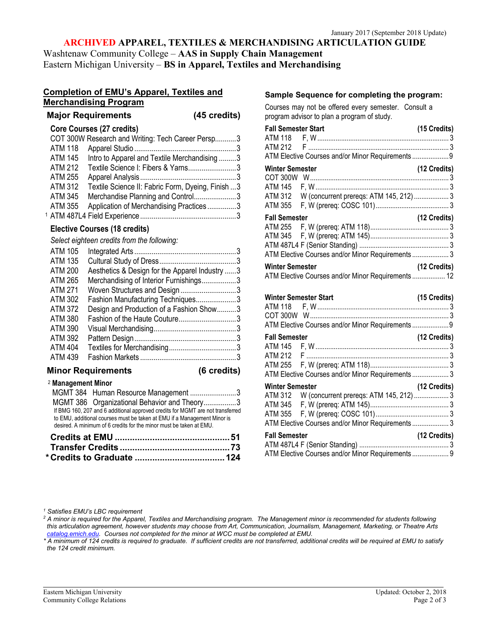# **ARCHIVED APPAREL, TEXTILES & MERCHANDISING ARTICULATION GUIDE**

Washtenaw Community College – **AAS in Supply Chain Management** Eastern Michigan University – **BS in Apparel, Textiles and Merchandising**

## **Completion of EMU's Apparel, Textiles and Merchandising Program**

| <b>Major Requirements</b> | (45 credits) |
|---------------------------|--------------|
|                           |              |

## **Core Courses (27 credits)**

|                | COT 300W Research and Writing: Tech Career Persp3  |  |
|----------------|----------------------------------------------------|--|
| <b>ATM 118</b> |                                                    |  |
| <b>ATM 145</b> | Intro to Apparel and Textile Merchandising3        |  |
| <b>ATM 212</b> | Textile Science I: Fibers & Yarns3                 |  |
| ATM 255        |                                                    |  |
| ATM 312        | Textile Science II: Fabric Form, Dyeing, Finish  3 |  |
| <b>ATM 345</b> | Merchandise Planning and Control3                  |  |
| ATM 355        | Application of Merchandising Practices3            |  |
|                |                                                    |  |

# **Elective Courses (18 credits)**

*Select eighteen credits from the following:*

| ATM 105        |                                                |  |
|----------------|------------------------------------------------|--|
| ATM 135        |                                                |  |
| <b>ATM 200</b> | Aesthetics & Design for the Apparel Industry 3 |  |
| ATM 265        | Merchandising of Interior Furnishings3         |  |
| ATM 271        | Woven Structures and Design3                   |  |
| <b>ATM 302</b> | Fashion Manufacturing Techniques3              |  |
| <b>ATM 372</b> | Design and Production of a Fashion Show3       |  |
| ATM 380        | Fashion of the Haute Couture3                  |  |
| ATM 390        |                                                |  |
| <b>ATM 392</b> |                                                |  |
| <b>ATM 404</b> |                                                |  |
| <b>ATM 439</b> |                                                |  |
|                |                                                |  |

## **Minor Requirements (6 credits)**

| <sup>2</sup> Management Minor |                                                                                                                                                                                                                                   |  |
|-------------------------------|-----------------------------------------------------------------------------------------------------------------------------------------------------------------------------------------------------------------------------------|--|
|                               | MGMT 384 Human Resource Management 3                                                                                                                                                                                              |  |
|                               | MGMT 386 Organizational Behavior and Theory3                                                                                                                                                                                      |  |
|                               | If BMG 160, 207 and 6 additional approved credits for MGMT are not transferred<br>to EMU, additional courses must be taken at EMU if a Management Minor is<br>desired. A minimum of 6 credits for the minor must be taken at EMU. |  |
|                               |                                                                                                                                                                                                                                   |  |
|                               |                                                                                                                                                                                                                                   |  |
|                               |                                                                                                                                                                                                                                   |  |

## **Sample Sequence for completing the program:**

Courses may not be offered every semester. Consult a program advisor to plan a program of study.

| <b>Fall Semester Start</b> |                                                   | (15 Credits)   |
|----------------------------|---------------------------------------------------|----------------|
|                            |                                                   |                |
|                            |                                                   |                |
|                            | ATM Elective Courses and/or Minor Requirements 9  |                |
| <b>Winter Semester</b>     |                                                   | (12 Credits)   |
|                            |                                                   |                |
|                            |                                                   |                |
|                            |                                                   |                |
|                            |                                                   |                |
| <b>Fall Semester</b>       |                                                   | (12 Credits)   |
|                            |                                                   |                |
|                            |                                                   |                |
|                            |                                                   |                |
|                            | ATM Elective Courses and/or Minor Requirements  3 |                |
| <b>Winter Semester</b>     |                                                   | $(12$ Credits) |
|                            | ATM Elective Courses and/or Minor Requirements 12 |                |
|                            |                                                   |                |
|                            | <b>Winter Semester Start</b>                      | (15 Credits)   |
|                            |                                                   |                |
|                            |                                                   |                |
|                            | ATM Elective Courses and/or Minor Requirements  9 |                |
| <b>Fall Semester</b>       |                                                   | (12 Credits)   |
|                            |                                                   |                |
|                            |                                                   |                |
|                            |                                                   |                |
|                            | ATM Elective Courses and/or Minor Requirements 3  |                |
| <b>Winter Semester</b>     | (12 Credits)                                      |                |
|                            | ATM 312 W (concurrent prereqs: ATM 145, 212)  3   |                |
|                            |                                                   |                |
|                            |                                                   |                |
|                            | ATM Elective Courses and/or Minor Requirements 3  |                |
| <b>Fall Semester</b>       |                                                   | (12 Credits)   |
|                            |                                                   |                |
|                            | ATM Elective Courses and/or Minor Requirements 9  |                |
|                            |                                                   |                |

### *<sup>1</sup> Satisfies EMU's LBC requirement*

*<sup>2</sup> A minor is required for the Apparel, Textiles and Merchandising program. The Management minor is recommended for students following this articulation agreement, however students may choose from Art, Communication, Journalism, Management, Marketing, or Theatre Arts catalog.emich.edu. Courses not completed for the minor at WCC must be completed at EMU.*

*\* A minimum of 124 credits is required to graduate. If sufficient credits are not transferred, additional credits will be required at EMU to satisfy the 124 credit minimum.*